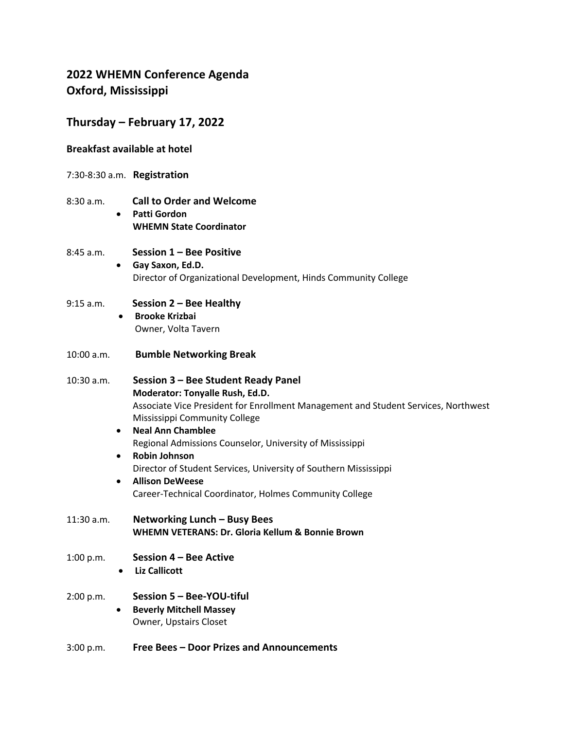# **2022 WHEMN Conference Agenda Oxford, Mississippi**

## **Thursday – February 17, 2022**

### **Breakfast available at hotel**

- 7:30-8:30 a.m. **Registration**
- 8:30 a.m. **Call to Order and Welcome**
	- **Patti Gordon WHEMN State Coordinator**

#### 8:45 a.m. **Session 1 – Bee Positive**

- **Gay Saxon, Ed.D.** Director of Organizational Development, Hinds Community College
- 9:15 a.m. **Session 2 – Bee Healthy** • **Brooke Krizbai**
	- Owner, Volta Tavern
- 10:00 a.m. **Bumble Networking Break**

10:30 a.m. **Session 3 – Bee Student Ready Panel Moderator: Tonyalle Rush, Ed.D.** Associate Vice President for Enrollment Management and Student Services, Northwest Mississippi Community College

### • **Neal Ann Chamblee** Regional Admissions Counselor, University of Mississippi

- **Robin Johnson** Director of Student Services, University of Southern Mississippi • **Allison DeWeese**
	- Career-Technical Coordinator, Holmes Community College
- 11:30 a.m. **Networking Lunch – Busy Bees WHEMN VETERANS: Dr. Gloria Kellum & Bonnie Brown**
- 1:00 p.m. **Session 4 – Bee Active**
	- **Liz Callicott**
- 2:00 p.m. **Session 5 – Bee-YOU-tiful**
	- **Beverly Mitchell Massey** Owner, Upstairs Closet
- 3:00 p.m. **Free Bees – Door Prizes and Announcements**